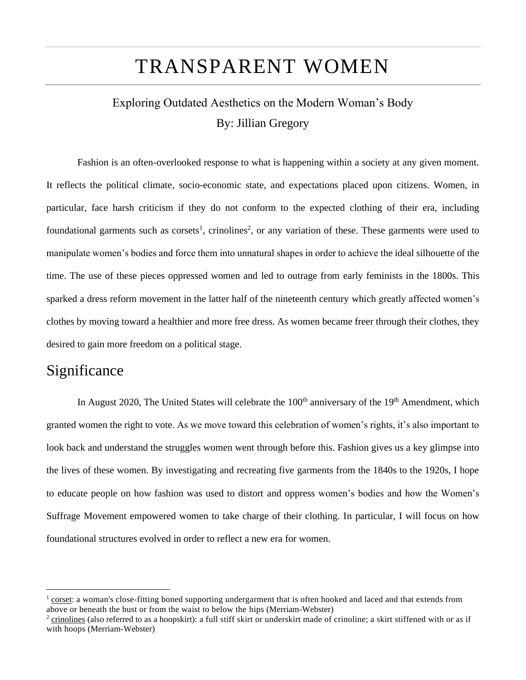# TRANSPARENT WOMEN

## Exploring Outdated Aesthetics on the Modern Woman's Body By: Jillian Gregory

Fashion is an often-overlooked response to what is happening within a society at any given moment. It reflects the political climate, socio-economic state, and expectations placed upon citizens. Women, in particular, face harsh criticism if they do not conform to the expected clothing of their era, including foundational garments such as corsets<sup>1</sup>, crinolines<sup>2</sup>, or any variation of these. These garments were used to manipulate women's bodies and force them into unnatural shapes in order to achieve the ideal silhouette of the time. The use of these pieces oppressed women and led to outrage from early feminists in the 1800s. This sparked a dress reform movement in the latter half of the nineteenth century which greatly affected women's clothes by moving toward a healthier and more free dress. As women became freer through their clothes, they desired to gain more freedom on a political stage.

### **Significance**

In August 2020, The United States will celebrate the  $100<sup>th</sup>$  anniversary of the  $19<sup>th</sup>$  Amendment, which granted women the right to vote. As we move toward this celebration of women's rights, it's also important to look back and understand the struggles women went through before this. Fashion gives us a key glimpse into the lives of these women. By investigating and recreating five garments from the 1840s to the 1920s, I hope to educate people on how fashion was used to distort and oppress women's bodies and how the Women's Suffrage Movement empowered women to take charge of their clothing. In particular, I will focus on how foundational structures evolved in order to reflect a new era for women.

<sup>1</sup> corset: a woman's close-fitting boned supporting undergarment that is often hooked and laced and that extends from above or beneath the bust or from the waist to below the hips (Merriam-Webster)

 $^2$  crinolines (also referred to as a hoopskirt): a full stiff skirt or underskirt made of crinoline; a skirt stiffened with or as if with [hoops](https://www.merriam-webster.com/dictionary/hoops) (Merriam-Webster)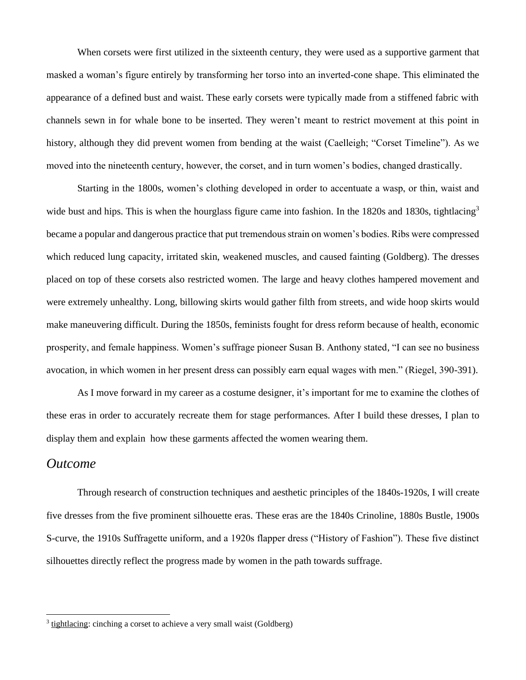When corsets were first utilized in the sixteenth century, they were used as a supportive garment that masked a woman's figure entirely by transforming her torso into an inverted-cone shape. This eliminated the appearance of a defined bust and waist. These early corsets were typically made from a stiffened fabric with channels sewn in for whale bone to be inserted. They weren't meant to restrict movement at this point in history, although they did prevent women from bending at the waist (Caelleigh; "Corset Timeline"). As we moved into the nineteenth century, however, the corset, and in turn women's bodies, changed drastically.

Starting in the 1800s, women's clothing developed in order to accentuate a wasp, or thin, waist and wide bust and hips. This is when the hourglass figure came into fashion. In the 1820s and 1830s, tightlacing<sup>3</sup> became a popular and dangerous practice that put tremendous strain on women's bodies. Ribs were compressed which reduced lung capacity, irritated skin, weakened muscles, and caused fainting (Goldberg). The dresses placed on top of these corsets also restricted women. The large and heavy clothes hampered movement and were extremely unhealthy. Long, billowing skirts would gather filth from streets, and wide hoop skirts would make maneuvering difficult. During the 1850s, feminists fought for dress reform because of health, economic prosperity, and female happiness. Women's suffrage pioneer Susan B. Anthony stated*,* "I can see no business avocation, in which women in her present dress can possibly earn equal wages with men." (Riegel, 390-391).

As I move forward in my career as a costume designer, it's important for me to examine the clothes of these eras in order to accurately recreate them for stage performances. After I build these dresses, I plan to display them and explain how these garments affected the women wearing them.

#### *Outcome*

Through research of construction techniques and aesthetic principles of the 1840s-1920s, I will create five dresses from the five prominent silhouette eras. These eras are the 1840s Crinoline, 1880s Bustle, 1900s S-curve, the 1910s Suffragette uniform, and a 1920s flapper dress ("History of Fashion"). These five distinct silhouettes directly reflect the progress made by women in the path towards suffrage.

 $3$  tightlacing: cinching a corset to achieve a very small waist (Goldberg)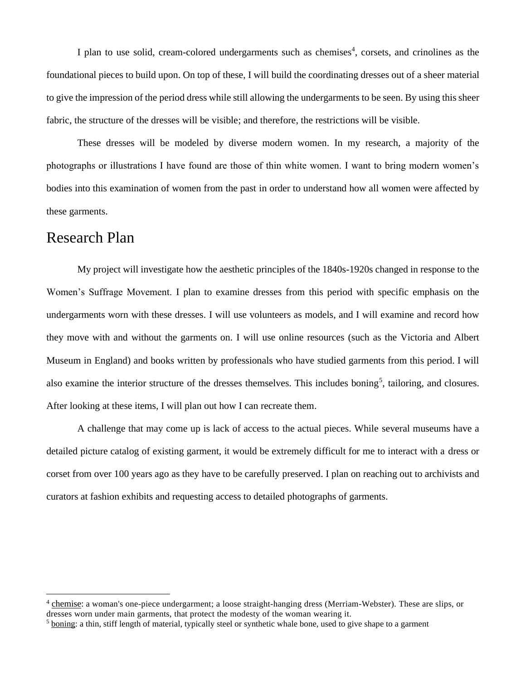I plan to use solid, cream-colored undergarments such as chemises<sup>4</sup>, corsets, and crinolines as the foundational pieces to build upon. On top of these, I will build the coordinating dresses out of a sheer material to give the impression of the period dress while still allowing the undergarments to be seen. By using this sheer fabric, the structure of the dresses will be visible; and therefore, the restrictions will be visible.

These dresses will be modeled by diverse modern women. In my research, a majority of the photographs or illustrations I have found are those of thin white women. I want to bring modern women's bodies into this examination of women from the past in order to understand how all women were affected by these garments.

#### Research Plan

My project will investigate how the aesthetic principles of the 1840s-1920s changed in response to the Women's Suffrage Movement. I plan to examine dresses from this period with specific emphasis on the undergarments worn with these dresses. I will use volunteers as models, and I will examine and record how they move with and without the garments on. I will use online resources (such as the Victoria and Albert Museum in England) and books written by professionals who have studied garments from this period. I will also examine the interior structure of the dresses themselves. This includes boning<sup>5</sup>, tailoring, and closures. After looking at these items, I will plan out how I can recreate them.

A challenge that may come up is lack of access to the actual pieces. While several museums have a detailed picture catalog of existing garment, it would be extremely difficult for me to interact with a dress or corset from over 100 years ago as they have to be carefully preserved. I plan on reaching out to archivists and curators at fashion exhibits and requesting access to detailed photographs of garments.

<sup>4</sup> chemise: a woman's one-piece undergarment; a loose straight-hanging dress (Merriam-Webster). These are slips, or dresses worn under main garments, that protect the modesty of the woman wearing it.

<sup>&</sup>lt;sup>5</sup> boning: a thin, stiff length of material, typically steel or synthetic whale bone, used to give shape to a garment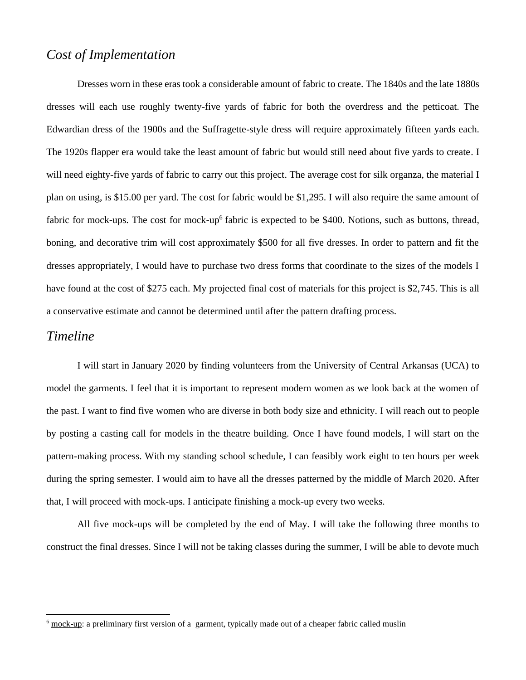#### *Cost of Implementation*

Dresses worn in these eras took a considerable amount of fabric to create. The 1840s and the late 1880s dresses will each use roughly twenty-five yards of fabric for both the overdress and the petticoat. The Edwardian dress of the 1900s and the Suffragette-style dress will require approximately fifteen yards each. The 1920s flapper era would take the least amount of fabric but would still need about five yards to create. I will need eighty-five yards of fabric to carry out this project. The average cost for silk organza, the material I plan on using, is \$15.00 per yard. The cost for fabric would be \$1,295. I will also require the same amount of fabric for mock-ups. The cost for mock-up<sup>6</sup> fabric is expected to be \$400. Notions, such as buttons, thread, boning, and decorative trim will cost approximately \$500 for all five dresses. In order to pattern and fit the dresses appropriately, I would have to purchase two dress forms that coordinate to the sizes of the models I have found at the cost of \$275 each. My projected final cost of materials for this project is \$2,745. This is all a conservative estimate and cannot be determined until after the pattern drafting process.

#### *Timeline*

I will start in January 2020 by finding volunteers from the University of Central Arkansas (UCA) to model the garments. I feel that it is important to represent modern women as we look back at the women of the past. I want to find five women who are diverse in both body size and ethnicity. I will reach out to people by posting a casting call for models in the theatre building. Once I have found models, I will start on the pattern-making process. With my standing school schedule, I can feasibly work eight to ten hours per week during the spring semester. I would aim to have all the dresses patterned by the middle of March 2020. After that, I will proceed with mock-ups. I anticipate finishing a mock-up every two weeks.

All five mock-ups will be completed by the end of May. I will take the following three months to construct the final dresses. Since I will not be taking classes during the summer, I will be able to devote much

 $6 \text{ mock-up}$ : a preliminary first version of a garment, typically made out of a cheaper fabric called muslin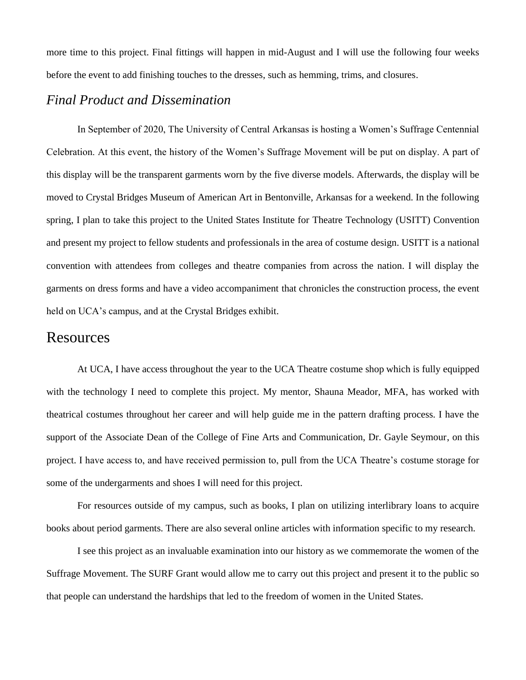more time to this project. Final fittings will happen in mid-August and I will use the following four weeks before the event to add finishing touches to the dresses, such as hemming, trims, and closures.

#### *Final Product and Dissemination*

In September of 2020, The University of Central Arkansas is hosting a Women's Suffrage Centennial Celebration. At this event, the history of the Women's Suffrage Movement will be put on display. A part of this display will be the transparent garments worn by the five diverse models. Afterwards, the display will be moved to Crystal Bridges Museum of American Art in Bentonville, Arkansas for a weekend. In the following spring, I plan to take this project to the United States Institute for Theatre Technology (USITT) Convention and present my project to fellow students and professionals in the area of costume design. USITT is a national convention with attendees from colleges and theatre companies from across the nation. I will display the garments on dress forms and have a video accompaniment that chronicles the construction process, the event held on UCA's campus, and at the Crystal Bridges exhibit.

#### Resources

At UCA, I have access throughout the year to the UCA Theatre costume shop which is fully equipped with the technology I need to complete this project. My mentor, Shauna Meador, MFA, has worked with theatrical costumes throughout her career and will help guide me in the pattern drafting process. I have the support of the Associate Dean of the College of Fine Arts and Communication, Dr. Gayle Seymour, on this project. I have access to, and have received permission to, pull from the UCA Theatre's costume storage for some of the undergarments and shoes I will need for this project.

For resources outside of my campus, such as books, I plan on utilizing interlibrary loans to acquire books about period garments. There are also several online articles with information specific to my research.

I see this project as an invaluable examination into our history as we commemorate the women of the Suffrage Movement. The SURF Grant would allow me to carry out this project and present it to the public so that people can understand the hardships that led to the freedom of women in the United States.